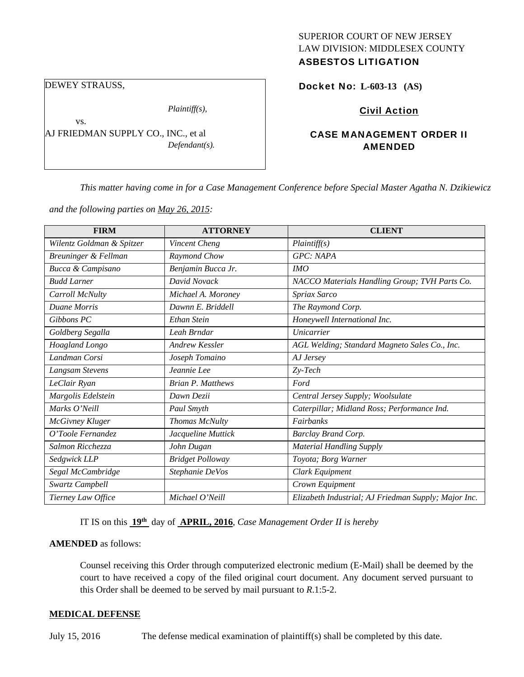# SUPERIOR COURT OF NEW JERSEY LAW DIVISION: MIDDLESEX COUNTY

# ASBESTOS LITIGATION

DEWEY STRAUSS,

vs.

*Plaintiff(s),* 

AJ FRIEDMAN SUPPLY CO., INC., et al *Defendant(s).* 

# Docket No: **L-603-13 (AS)**

# Civil Action

# CASE MANAGEMENT ORDER II AMENDED

*This matter having come in for a Case Management Conference before Special Master Agatha N. Dzikiewicz* 

*and the following parties on May 26, 2015:* 

| <b>FIRM</b>               | <b>ATTORNEY</b>          | <b>CLIENT</b>                                        |
|---------------------------|--------------------------|------------------------------------------------------|
| Wilentz Goldman & Spitzer | Vincent Cheng            | Plaintiff(s)                                         |
| Breuninger & Fellman      | Raymond Chow             | GPC: NAPA                                            |
| Bucca & Campisano         | Benjamin Bucca Jr.       | IMO                                                  |
| <b>Budd Larner</b>        | David Novack             | NACCO Materials Handling Group; TVH Parts Co.        |
| Carroll McNulty           | Michael A. Moroney       | Spriax Sarco                                         |
| <b>Duane Morris</b>       | Dawnn E. Briddell        | The Raymond Corp.                                    |
| Gibbons PC                | Ethan Stein              | Honeywell International Inc.                         |
| Goldberg Segalla          | Leah Brndar              | Unicarrier                                           |
| Hoagland Longo            | Andrew Kessler           | AGL Welding; Standard Magneto Sales Co., Inc.        |
| Landman Corsi             | Joseph Tomaino           | AJ Jersey                                            |
| Langsam Stevens           | Jeannie Lee              | $Zy-Tech$                                            |
| LeClair Ryan              | <b>Brian P. Matthews</b> | Ford                                                 |
| Margolis Edelstein        | Dawn Dezii               | Central Jersey Supply; Woolsulate                    |
| Marks O'Neill             | Paul Smyth               | Caterpillar; Midland Ross; Performance Ind.          |
| McGivney Kluger           | Thomas McNulty           | Fairbanks                                            |
| O'Toole Fernandez         | Jacqueline Muttick       | <b>Barclay Brand Corp.</b>                           |
| Salmon Ricchezza          | John Dugan               | <b>Material Handling Supply</b>                      |
| Sedgwick LLP              | <b>Bridget Polloway</b>  | Toyota; Borg Warner                                  |
| Segal McCambridge         | Stephanie DeVos          | Clark Equipment                                      |
| Swartz Campbell           |                          | Crown Equipment                                      |
| Tierney Law Office        | Michael O'Neill          | Elizabeth Industrial; AJ Friedman Supply; Major Inc. |

IT IS on this **19th** day of **APRIL, 2016**, *Case Management Order II is hereby*

#### **AMENDED** as follows:

Counsel receiving this Order through computerized electronic medium (E-Mail) shall be deemed by the court to have received a copy of the filed original court document. Any document served pursuant to this Order shall be deemed to be served by mail pursuant to *R*.1:5-2.

#### **MEDICAL DEFENSE**

July 15, 2016 The defense medical examination of plaintiff(s) shall be completed by this date.